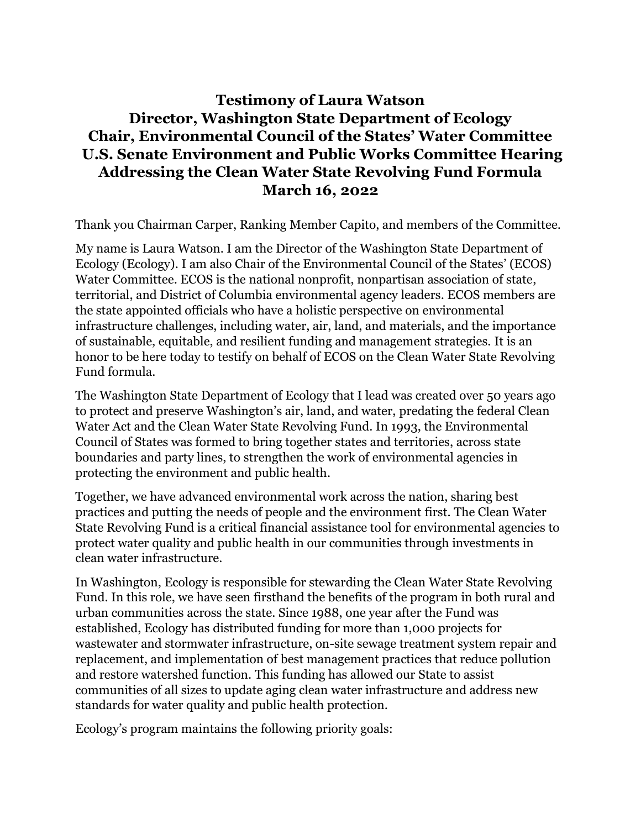# **Testimony of Laura Watson Director, Washington State Department of Ecology Chair, Environmental Council of the States' Water Committee U.S. Senate Environment and Public Works Committee Hearing Addressing the Clean Water State Revolving Fund Formula March 16, 2022**

Thank you Chairman Carper, Ranking Member Capito, and members of the Committee.

My name is Laura Watson. I am the Director of the Washington State Department of Ecology (Ecology). I am also Chair of the Environmental Council of the States' (ECOS) Water Committee. ECOS is the national nonprofit, nonpartisan association of state, territorial, and District of Columbia environmental agency leaders. ECOS members are the state appointed officials who have a holistic perspective on environmental infrastructure challenges, including water, air, land, and materials, and the importance of sustainable, equitable, and resilient funding and management strategies. It is an honor to be here today to testify on behalf of ECOS on the Clean Water State Revolving Fund formula.

The Washington State Department of Ecology that I lead was created over 50 years ago to protect and preserve Washington's air, land, and water, predating the federal Clean Water Act and the Clean Water State Revolving Fund. In 1993, the Environmental Council of States was formed to bring together states and territories, across state boundaries and party lines, to strengthen the work of environmental agencies in protecting the environment and public health.

Together, we have advanced environmental work across the nation, sharing best practices and putting the needs of people and the environment first. The Clean Water State Revolving Fund is a critical financial assistance tool for environmental agencies to protect water quality and public health in our communities through investments in clean water infrastructure.

In Washington, Ecology is responsible for stewarding the Clean Water State Revolving Fund. In this role, we have seen firsthand the benefits of the program in both rural and urban communities across the state. Since 1988, one year after the Fund was established, Ecology has distributed funding for more than 1,000 projects for wastewater and stormwater infrastructure, on-site sewage treatment system repair and replacement, and implementation of best management practices that reduce pollution and restore watershed function. This funding has allowed our State to assist communities of all sizes to update aging clean water infrastructure and address new standards for water quality and public health protection.

Ecology's program maintains the following priority goals: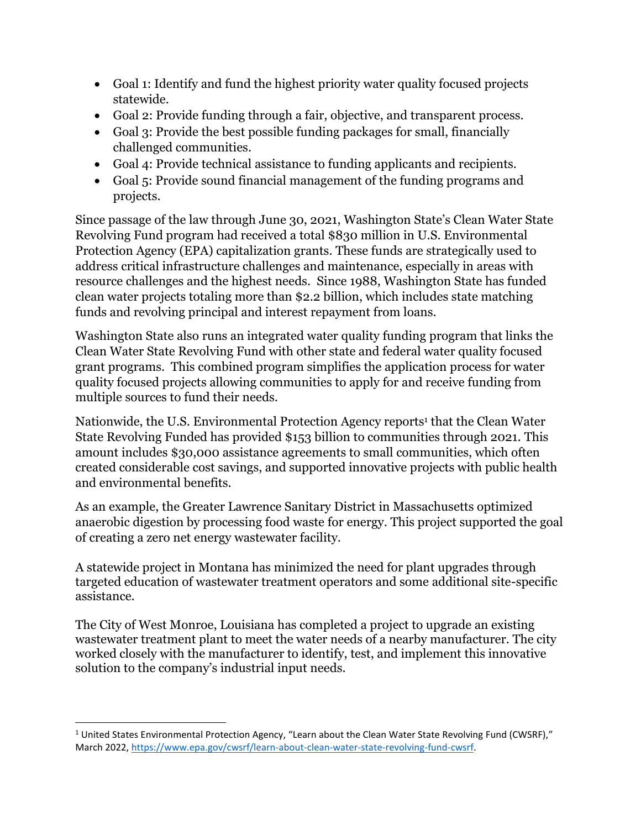- Goal 1: Identify and fund the highest priority water quality focused projects statewide.
- Goal 2: Provide funding through a fair, objective, and transparent process.
- Goal 3: Provide the best possible funding packages for small, financially challenged communities.
- Goal 4: Provide technical assistance to funding applicants and recipients.
- Goal 5: Provide sound financial management of the funding programs and projects.

Since passage of the law through June 30, 2021, Washington State's Clean Water State Revolving Fund program had received a total \$830 million in U.S. Environmental Protection Agency (EPA) capitalization grants. These funds are strategically used to address critical infrastructure challenges and maintenance, especially in areas with resource challenges and the highest needs. Since 1988, Washington State has funded clean water projects totaling more than \$2.2 billion, which includes state matching funds and revolving principal and interest repayment from loans.

Washington State also runs an integrated water quality funding program that links the Clean Water State Revolving Fund with other state and federal water quality focused grant programs. This combined program simplifies the application process for water quality focused projects allowing communities to apply for and receive funding from multiple sources to fund their needs.

Nationwide, the U.S. Environmental Protection Agency reports<sup>1</sup> that the Clean Water State Revolving Funded has provided \$153 billion to communities through 2021. This amount includes \$30,000 assistance agreements to small communities, which often created considerable cost savings, and supported innovative projects with public health and environmental benefits.

As an example, the Greater Lawrence Sanitary District in Massachusetts optimized anaerobic digestion by processing food waste for energy. This project supported the goal of creating a zero net energy wastewater facility.

A statewide project in Montana has minimized the need for plant upgrades through targeted education of wastewater treatment operators and some additional site-specific assistance.

The City of West Monroe, Louisiana has completed a project to upgrade an existing wastewater treatment plant to meet the water needs of a nearby manufacturer. The city worked closely with the manufacturer to identify, test, and implement this innovative solution to the company's industrial input needs.

 $\overline{\phantom{a}}$ 

 $1$  United States Environmental Protection Agency, "Learn about the Clean Water State Revolving Fund (CWSRF)," March 2022[, https://www.epa.gov/cwsrf/learn-about-clean-water-state-revolving-fund-cwsrf.](https://www.epa.gov/cwsrf/learn-about-clean-water-state-revolving-fund-cwsrf)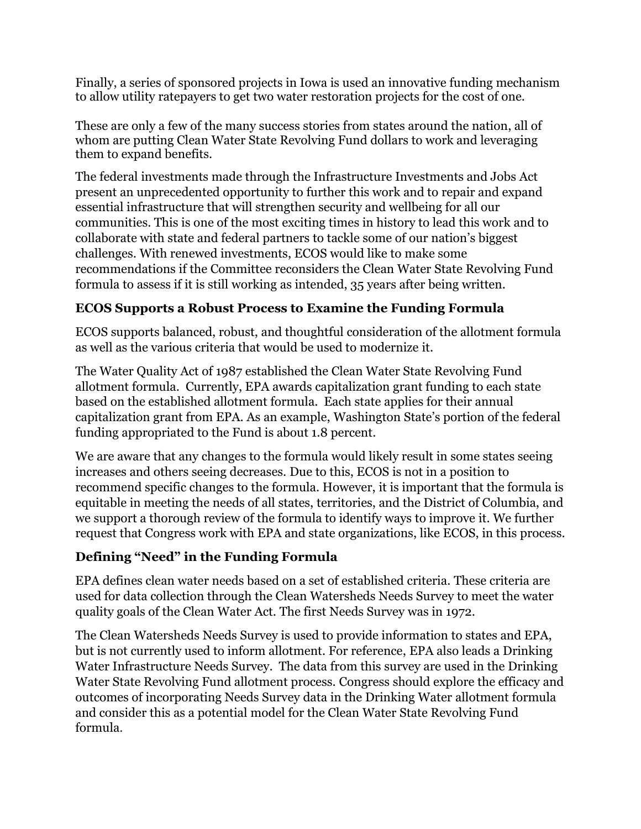Finally, a series of sponsored projects in Iowa is used an innovative funding mechanism to allow utility ratepayers to get two water restoration projects for the cost of one.

These are only a few of the many success stories from states around the nation, all of whom are putting Clean Water State Revolving Fund dollars to work and leveraging them to expand benefits.

The federal investments made through the Infrastructure Investments and Jobs Act present an unprecedented opportunity to further this work and to repair and expand essential infrastructure that will strengthen security and wellbeing for all our communities. This is one of the most exciting times in history to lead this work and to collaborate with state and federal partners to tackle some of our nation's biggest challenges. With renewed investments, ECOS would like to make some recommendations if the Committee reconsiders the Clean Water State Revolving Fund formula to assess if it is still working as intended, 35 years after being written.

# **ECOS Supports a Robust Process to Examine the Funding Formula**

ECOS supports balanced, robust, and thoughtful consideration of the allotment formula as well as the various criteria that would be used to modernize it.

The Water Quality Act of 1987 established the Clean Water State Revolving Fund allotment formula. Currently, EPA awards capitalization grant funding to each state based on the established allotment formula. Each state applies for their annual capitalization grant from EPA. As an example, Washington State's portion of the federal funding appropriated to the Fund is about 1.8 percent.

We are aware that any changes to the formula would likely result in some states seeing increases and others seeing decreases. Due to this, ECOS is not in a position to recommend specific changes to the formula. However, it is important that the formula is equitable in meeting the needs of all states, territories, and the District of Columbia, and we support a thorough review of the formula to identify ways to improve it. We further request that Congress work with EPA and state organizations, like ECOS, in this process.

# **Defining "Need" in the Funding Formula**

EPA defines clean water needs based on a set of established criteria. These criteria are used for data collection through the Clean Watersheds Needs Survey to meet the water quality goals of the Clean Water Act. The first Needs Survey was in 1972.

The Clean Watersheds Needs Survey is used to provide information to states and EPA, but is not currently used to inform allotment. For reference, EPA also leads a Drinking Water Infrastructure Needs Survey. The data from this survey are used in the Drinking Water State Revolving Fund allotment process. Congress should explore the efficacy and outcomes of incorporating Needs Survey data in the Drinking Water allotment formula and consider this as a potential model for the Clean Water State Revolving Fund formula.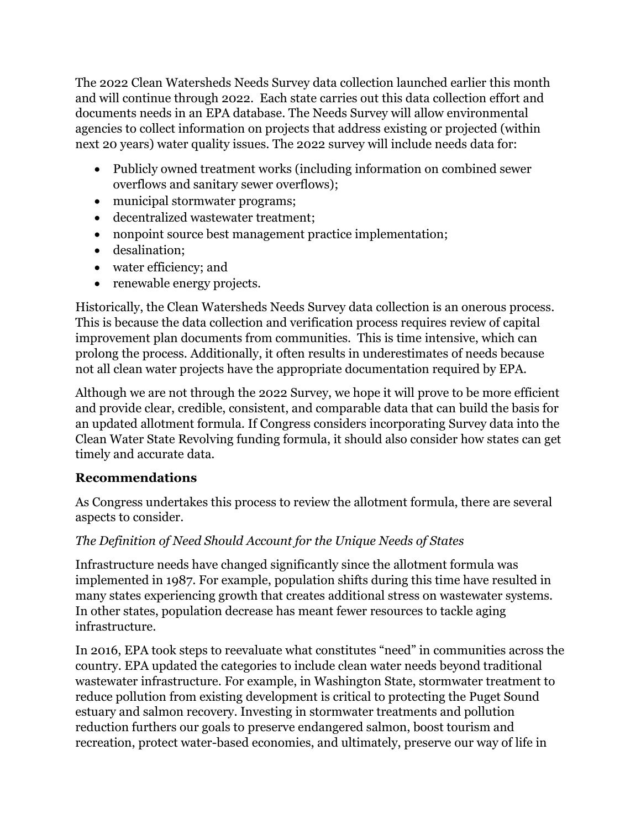The 2022 Clean Watersheds Needs Survey data collection launched earlier this month and will continue through 2022. Each state carries out this data collection effort and documents needs in an EPA database. The Needs Survey will allow environmental agencies to collect information on projects that address existing or projected (within next 20 years) water quality issues. The 2022 survey will include needs data for:

- Publicly owned treatment works (including information on combined sewer overflows and sanitary sewer overflows);
- municipal stormwater programs;
- decentralized wastewater treatment;
- nonpoint source best management practice implementation;
- desalination;
- water efficiency; and
- renewable energy projects.

Historically, the Clean Watersheds Needs Survey data collection is an onerous process. This is because the data collection and verification process requires review of capital improvement plan documents from communities. This is time intensive, which can prolong the process. Additionally, it often results in underestimates of needs because not all clean water projects have the appropriate documentation required by EPA.

Although we are not through the 2022 Survey, we hope it will prove to be more efficient and provide clear, credible, consistent, and comparable data that can build the basis for an updated allotment formula. If Congress considers incorporating Survey data into the Clean Water State Revolving funding formula, it should also consider how states can get timely and accurate data.

# **Recommendations**

As Congress undertakes this process to review the allotment formula, there are several aspects to consider.

# *The Definition of Need Should Account for the Unique Needs of States*

Infrastructure needs have changed significantly since the allotment formula was implemented in 1987. For example, population shifts during this time have resulted in many states experiencing growth that creates additional stress on wastewater systems. In other states, population decrease has meant fewer resources to tackle aging infrastructure.

In 2016, EPA took steps to reevaluate what constitutes "need" in communities across the country. EPA updated the categories to include clean water needs beyond traditional wastewater infrastructure. For example, in Washington State, stormwater treatment to reduce pollution from existing development is critical to protecting the Puget Sound estuary and salmon recovery. Investing in stormwater treatments and pollution reduction furthers our goals to preserve endangered salmon, boost tourism and recreation, protect water-based economies, and ultimately, preserve our way of life in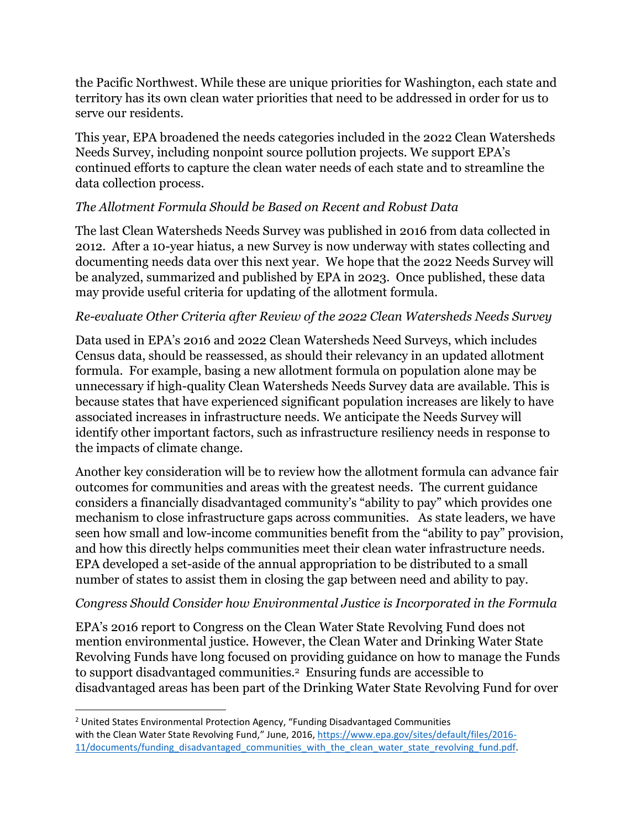the Pacific Northwest. While these are unique priorities for Washington, each state and territory has its own clean water priorities that need to be addressed in order for us to serve our residents.

This year, EPA broadened the needs categories included in the 2022 Clean Watersheds Needs Survey, including nonpoint source pollution projects. We support EPA's continued efforts to capture the clean water needs of each state and to streamline the data collection process.

# *The Allotment Formula Should be Based on Recent and Robust Data*

The last Clean Watersheds Needs Survey was published in 2016 from data collected in 2012. After a 10-year hiatus, a new Survey is now underway with states collecting and documenting needs data over this next year. We hope that the 2022 Needs Survey will be analyzed, summarized and published by EPA in 2023. Once published, these data may provide useful criteria for updating of the allotment formula.

#### *Re-evaluate Other Criteria after Review of the 2022 Clean Watersheds Needs Survey*

Data used in EPA's 2016 and 2022 Clean Watersheds Need Surveys, which includes Census data, should be reassessed, as should their relevancy in an updated allotment formula. For example, basing a new allotment formula on population alone may be unnecessary if high-quality Clean Watersheds Needs Survey data are available. This is because states that have experienced significant population increases are likely to have associated increases in infrastructure needs. We anticipate the Needs Survey will identify other important factors, such as infrastructure resiliency needs in response to the impacts of climate change.

Another key consideration will be to review how the allotment formula can advance fair outcomes for communities and areas with the greatest needs. The current guidance considers a financially disadvantaged community's "ability to pay" which provides one mechanism to close infrastructure gaps across communities. As state leaders, we have seen how small and low-income communities benefit from the "ability to pay" provision, and how this directly helps communities meet their clean water infrastructure needs. EPA developed a set-aside of the annual appropriation to be distributed to a small number of states to assist them in closing the gap between need and ability to pay.

#### *Congress Should Consider how Environmental Justice is Incorporated in the Formula*

EPA's 2016 report to Congress on the Clean Water State Revolving Fund does not mention environmental justice. However, the Clean Water and Drinking Water State Revolving Funds have long focused on providing guidance on how to manage the Funds to support disadvantaged communities.<sup>2</sup> Ensuring funds are accessible to disadvantaged areas has been part of the Drinking Water State Revolving Fund for over

 $\overline{a}$ 

<sup>&</sup>lt;sup>2</sup> United States Environmental Protection Agency, "Funding Disadvantaged Communities with the Clean Water State Revolving Fund," June, 2016, [https://www.epa.gov/sites/default/files/2016-](https://www.epa.gov/sites/default/files/2016-11/documents/funding_disadvantaged_communities_with_the_clean_water_state_revolving_fund.pdf) [11/documents/funding\\_disadvantaged\\_communities\\_with\\_the\\_clean\\_water\\_state\\_revolving\\_fund.pdf.](https://www.epa.gov/sites/default/files/2016-11/documents/funding_disadvantaged_communities_with_the_clean_water_state_revolving_fund.pdf)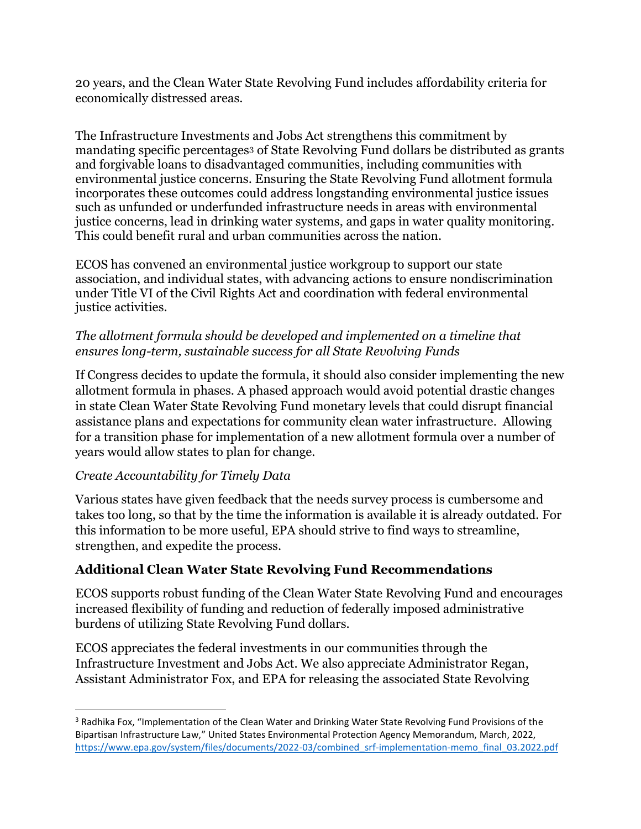20 years, and the Clean Water State Revolving Fund includes affordability criteria for economically distressed areas.

The Infrastructure Investments and Jobs Act strengthens this commitment by mandating specific percentages<sup>3</sup> of State Revolving Fund dollars be distributed as grants and forgivable loans to disadvantaged communities, including communities with environmental justice concerns. Ensuring the State Revolving Fund allotment formula incorporates these outcomes could address longstanding environmental justice issues such as unfunded or underfunded infrastructure needs in areas with environmental justice concerns, lead in drinking water systems, and gaps in water quality monitoring. This could benefit rural and urban communities across the nation.

ECOS has convened an environmental justice workgroup to support our state association, and individual states, with advancing actions to ensure nondiscrimination under Title VI of the Civil Rights Act and coordination with federal environmental justice activities.

## *The allotment formula should be developed and implemented on a timeline that ensures long-term, sustainable success for all State Revolving Funds*

If Congress decides to update the formula, it should also consider implementing the new allotment formula in phases. A phased approach would avoid potential drastic changes in state Clean Water State Revolving Fund monetary levels that could disrupt financial assistance plans and expectations for community clean water infrastructure. Allowing for a transition phase for implementation of a new allotment formula over a number of years would allow states to plan for change.

# *Create Accountability for Timely Data*

 $\overline{a}$ 

Various states have given feedback that the needs survey process is cumbersome and takes too long, so that by the time the information is available it is already outdated. For this information to be more useful, EPA should strive to find ways to streamline, strengthen, and expedite the process.

# **Additional Clean Water State Revolving Fund Recommendations**

ECOS supports robust funding of the Clean Water State Revolving Fund and encourages increased flexibility of funding and reduction of federally imposed administrative burdens of utilizing State Revolving Fund dollars.

ECOS appreciates the federal investments in our communities through the Infrastructure Investment and Jobs Act. We also appreciate Administrator Regan, Assistant Administrator Fox, and EPA for releasing the associated State Revolving

<sup>&</sup>lt;sup>3</sup> Radhika Fox, "Implementation of the Clean Water and Drinking Water State Revolving Fund Provisions of the Bipartisan Infrastructure Law," United States Environmental Protection Agency Memorandum, March, 2022, [https://www.epa.gov/system/files/documents/2022-03/combined\\_srf-implementation-memo\\_final\\_03.2022.pdf](https://www.epa.gov/system/files/documents/2022-03/combined_srf-implementation-memo_final_03.2022.pdf)